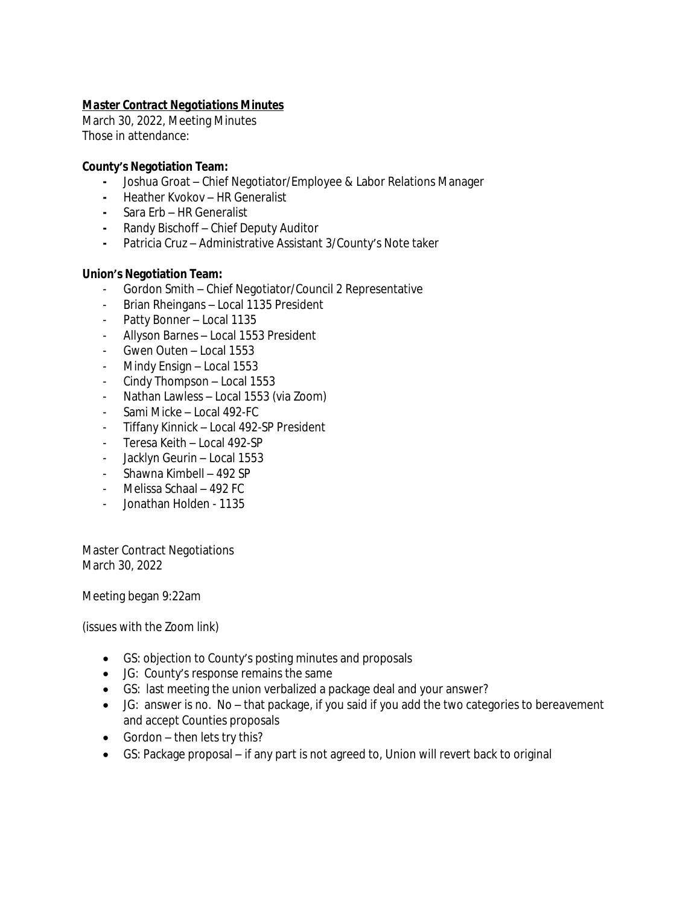# *Master Contract Negotiations Minutes*

March 30, 2022, Meeting Minutes Those in attendance:

## **County's Negotiation Team:**

- **-** Joshua Groat Chief Negotiator/Employee & Labor Relations Manager
- **-** Heather Kvokov HR Generalist
- **-** Sara Erb HR Generalist
- **-** Randy Bischoff Chief Deputy Auditor
- **-** Patricia Cruz Administrative Assistant 3/County's Note taker

# **Union's Negotiation Team:**

- Gordon Smith Chief Negotiator/Council 2 Representative
- Brian Rheingans Local 1135 President
- Patty Bonner Local 1135
- Allyson Barnes Local 1553 President
- Gwen Outen Local 1553
- Mindy Ensign Local 1553
- Cindy Thompson Local 1553
- Nathan Lawless Local 1553 (via Zoom)
- Sami Micke Local 492-FC
- Tiffany Kinnick Local 492-SP President
- Teresa Keith Local 492-SP
- Jacklyn Geurin Local 1553
- Shawna Kimbell 492 SP
- Melissa Schaal 492 FC
- Jonathan Holden 1135

Master Contract Negotiations March 30, 2022

Meeting began 9:22am

(issues with the Zoom link)

- GS: objection to County's posting minutes and proposals
- JG: County's response remains the same
- GS: last meeting the union verbalized a package deal and your answer?
- JG: answer is no. No that package, if you said if you add the two categories to bereavement and accept Counties proposals
- Gordon then lets try this?
- GS: Package proposal if any part is not agreed to, Union will revert back to original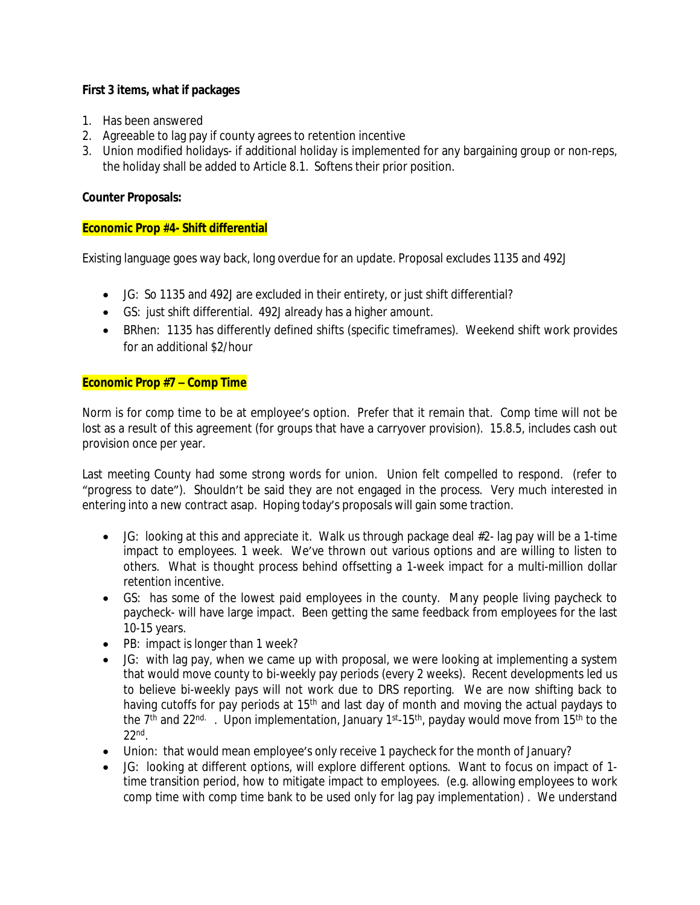# **First 3 items, what if packages**

- 1. Has been answered
- 2. Agreeable to lag pay if county agrees to retention incentive
- 3. Union modified holidays- if additional holiday is implemented for any bargaining group or non-reps, the holiday shall be added to Article 8.1. Softens their prior position.

## **Counter Proposals:**

## **Economic Prop #4- Shift differential**

Existing language goes way back, long overdue for an update. Proposal excludes 1135 and 492J

- JG: So 1135 and 492J are excluded in their entirety, or just shift differential?
- GS: just shift differential. 492J already has a higher amount.
- BRhen: 1135 has differently defined shifts (specific timeframes). Weekend shift work provides for an additional \$2/hour

## **Economic Prop #7 – Comp Time**

Norm is for comp time to be at employee's option. Prefer that it remain that. Comp time will not be lost as a result of this agreement (for groups that have a carryover provision). 15.8.5, includes cash out provision once per year.

Last meeting County had some strong words for union. Union felt compelled to respond. (refer to "progress to date"). Shouldn't be said they are not engaged in the process. Very much interested in entering into a new contract asap. Hoping today's proposals will gain some traction.

- $\bullet$  JG: looking at this and appreciate it. Walk us through package deal  $#2$  lag pay will be a 1-time impact to employees. 1 week. We've thrown out various options and are willing to listen to others. What is thought process behind offsetting a 1-week impact for a multi-million dollar retention incentive.
- GS: has some of the lowest paid employees in the county. Many people living paycheck to paycheck- will have large impact. Been getting the same feedback from employees for the last 10-15 years.
- PB: impact is longer than 1 week?
- JG: with lag pay, when we came up with proposal, we were looking at implementing a system that would move county to bi-weekly pay periods (every 2 weeks). Recent developments led us to believe bi-weekly pays will not work due to DRS reporting. We are now shifting back to having cutoffs for pay periods at 15<sup>th</sup> and last day of month and moving the actual paydays to the 7<sup>th</sup> and 22<sup>nd.</sup> . Upon implementation, January 1<sup>st</sup>-15<sup>th</sup>, payday would move from 15<sup>th</sup> to the 22nd .
- Union: that would mean employee's only receive 1 paycheck for the month of January?
- JG: looking at different options, will explore different options. Want to focus on impact of 1 time transition period, how to mitigate impact to employees. (e.g. allowing employees to work comp time with comp time bank to be used only for lag pay implementation) . We understand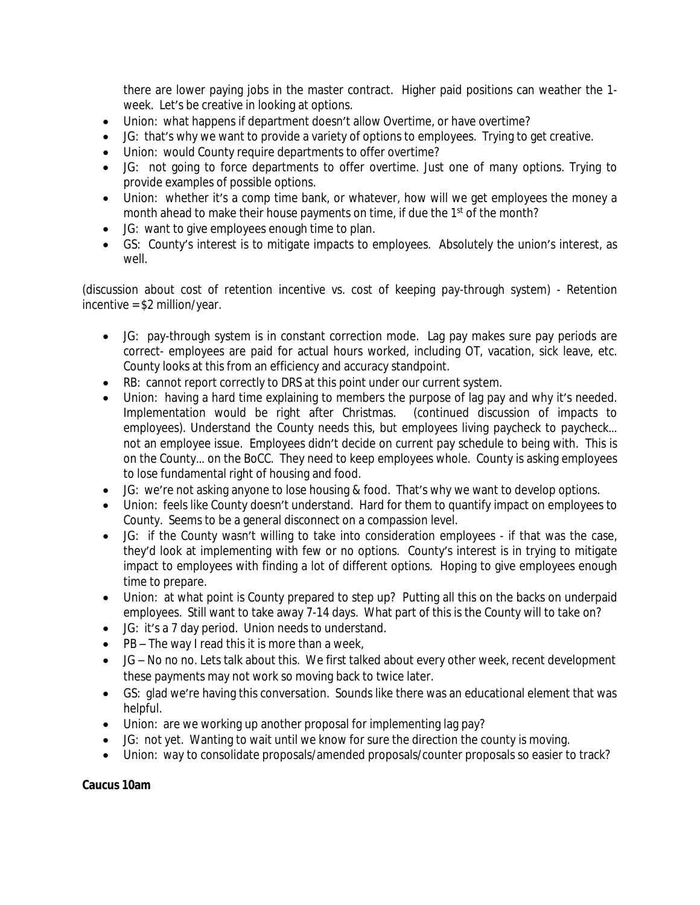there are lower paying jobs in the master contract. Higher paid positions can weather the 1 week. Let's be creative in looking at options.

- Union: what happens if department doesn't allow Overtime, or have overtime?
- JG: that's why we want to provide a variety of options to employees. Trying to get creative.
- Union: would County require departments to offer overtime?
- JG: not going to force departments to offer overtime. Just one of many options. Trying to provide examples of possible options.
- Union: whether it's a comp time bank, or whatever, how will we get employees the money a month ahead to make their house payments on time, if due the 1<sup>st</sup> of the month?
- JG: want to give employees enough time to plan.
- GS: County's interest is to mitigate impacts to employees. Absolutely the union's interest, as well.

(discussion about cost of retention incentive vs. cost of keeping pay-through system) - Retention incentive = \$2 million/year.

- JG: pay-through system is in constant correction mode. Lag pay makes sure pay periods are correct- employees are paid for actual hours worked, including OT, vacation, sick leave, etc. County looks at this from an efficiency and accuracy standpoint.
- RB: cannot report correctly to DRS at this point under our current system.
- Union: having a hard time explaining to members the purpose of lag pay and why it's needed. Implementation would be right after Christmas. (continued discussion of impacts to employees). Understand the County needs this, but employees living paycheck to paycheck... not an employee issue. Employees didn't decide on current pay schedule to being with. This is on the County… on the BoCC. They need to keep employees whole. County is asking employees to lose fundamental right of housing and food.
- JG: we're not asking anyone to lose housing & food. That's why we want to develop options.
- Union: feels like County doesn't understand. Hard for them to quantify impact on employees to County. Seems to be a general disconnect on a compassion level.
- JG: if the County wasn't willing to take into consideration employees if that was the case, they'd look at implementing with few or no options. County's interest is in trying to mitigate impact to employees with finding a lot of different options. Hoping to give employees enough time to prepare.
- Union: at what point is County prepared to step up? Putting all this on the backs on underpaid employees. Still want to take away 7-14 days. What part of this is the County will to take on?
- JG: it's a 7 day period. Union needs to understand.
- PB The way I read this it is more than a week,
- JG No no no. Lets talk about this. We first talked about every other week, recent development these payments may not work so moving back to twice later.
- GS: glad we're having this conversation. Sounds like there was an educational element that was helpful.
- Union: are we working up another proposal for implementing lag pay?
- JG: not yet. Wanting to wait until we know for sure the direction the county is moving.
- Union: way to consolidate proposals/amended proposals/counter proposals so easier to track?

# **Caucus 10am**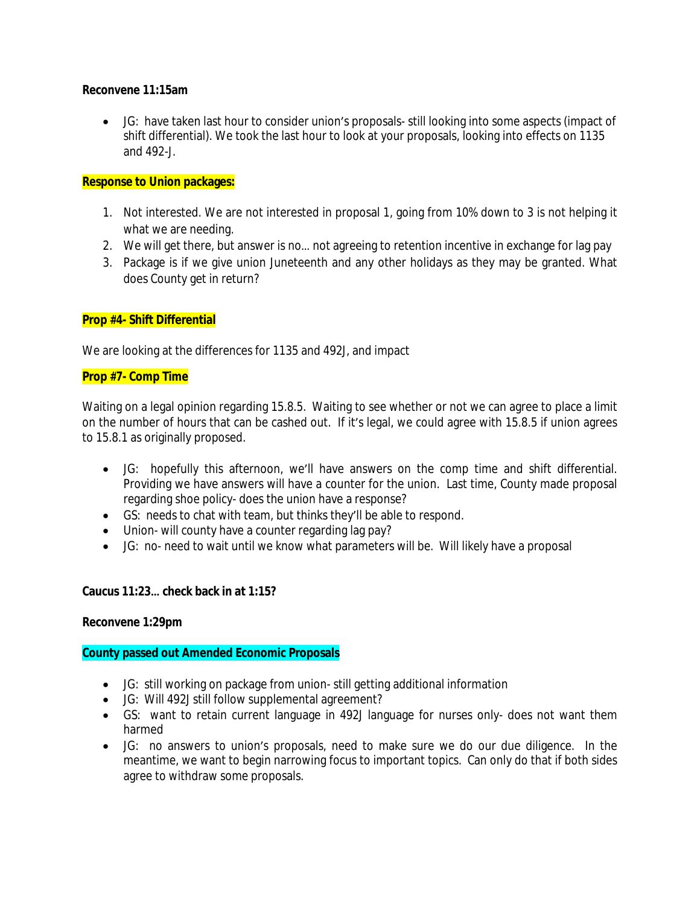#### **Reconvene 11:15am**

 JG: have taken last hour to consider union's proposals- still looking into some aspects (impact of shift differential). We took the last hour to look at your proposals, looking into effects on 1135 and 492-J.

## **Response to Union packages:**

- 1. Not interested. We are not interested in proposal 1, going from 10% down to 3 is not helping it what we are needing.
- 2. We will get there, but answer is no… not agreeing to retention incentive in exchange for lag pay
- 3. Package is if we give union Juneteenth and any other holidays as they may be granted. What does County get in return?

## **Prop #4- Shift Differential**

We are looking at the differences for 1135 and 492J, and impact

#### **Prop #7- Comp Time**

Waiting on a legal opinion regarding 15.8.5. Waiting to see whether or not we can agree to place a limit on the number of hours that can be cashed out. If it's legal, we could agree with 15.8.5 if union agrees to 15.8.1 as originally proposed.

- JG: hopefully this afternoon, we'll have answers on the comp time and shift differential. Providing we have answers will have a counter for the union. Last time, County made proposal regarding shoe policy- does the union have a response?
- GS: needs to chat with team, but thinks they'll be able to respond.
- Union- will county have a counter regarding lag pay?
- JG: no- need to wait until we know what parameters will be. Will likely have a proposal

## **Caucus 11:23… check back in at 1:15?**

## **Reconvene 1:29pm**

## **County passed out Amended Economic Proposals**

- JG: still working on package from union- still getting additional information
- JG: Will 492J still follow supplemental agreement?
- GS: want to retain current language in 492J language for nurses only- does not want them harmed
- JG: no answers to union's proposals, need to make sure we do our due diligence. In the meantime, we want to begin narrowing focus to important topics. Can only do that if both sides agree to withdraw some proposals.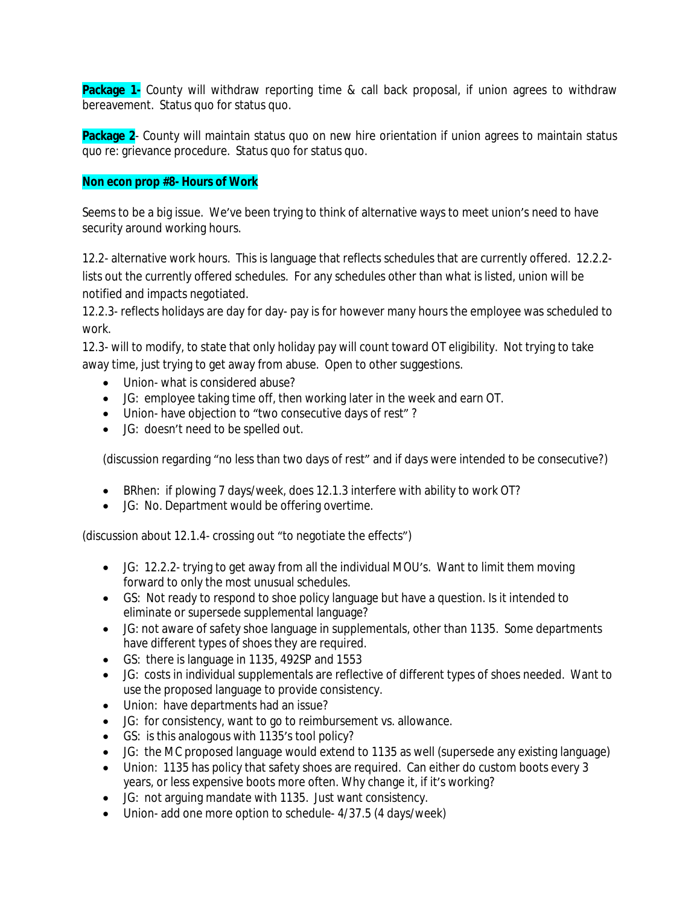**Package 1-** County will withdraw reporting time & call back proposal, if union agrees to withdraw bereavement. Status quo for status quo.

**Package 2**- County will maintain status quo on new hire orientation if union agrees to maintain status quo re: grievance procedure. Status quo for status quo.

#### **Non econ prop #8- Hours of Work**

Seems to be a big issue. We've been trying to think of alternative ways to meet union's need to have security around working hours.

12.2- alternative work hours. This is language that reflects schedules that are currently offered. 12.2.2 lists out the currently offered schedules. For any schedules other than what is listed, union will be notified and impacts negotiated.

12.2.3- reflects holidays are day for day- pay is for however many hours the employee was scheduled to work.

12.3- will to modify, to state that only holiday pay will count toward OT eligibility. Not trying to take away time, just trying to get away from abuse. Open to other suggestions.

- Union- what is considered abuse?
- JG: employee taking time off, then working later in the week and earn OT.
- Union- have objection to "two consecutive days of rest"?
- JG: doesn't need to be spelled out.

(discussion regarding "no less than two days of rest" and if days were intended to be consecutive?)

- BRhen: if plowing 7 days/week, does 12.1.3 interfere with ability to work OT?
- JG: No. Department would be offering overtime.

(discussion about 12.1.4- crossing out "to negotiate the effects")

- JG: 12.2.2- trying to get away from all the individual MOU's. Want to limit them moving forward to only the most unusual schedules.
- GS: Not ready to respond to shoe policy language but have a question. Is it intended to eliminate or supersede supplemental language?
- JG: not aware of safety shoe language in supplementals, other than 1135. Some departments have different types of shoes they are required.
- GS: there is language in 1135, 492SP and 1553
- JG: costs in individual supplementals are reflective of different types of shoes needed. Want to use the proposed language to provide consistency.
- Union: have departments had an issue?
- JG: for consistency, want to go to reimbursement vs. allowance.
- GS: is this analogous with 1135's tool policy?
- JG: the MC proposed language would extend to 1135 as well (supersede any existing language)
- Union: 1135 has policy that safety shoes are required. Can either do custom boots every 3 years, or less expensive boots more often. Why change it, if it's working?
- JG: not arguing mandate with 1135. Just want consistency.
- Union- add one more option to schedule- 4/37.5 (4 days/week)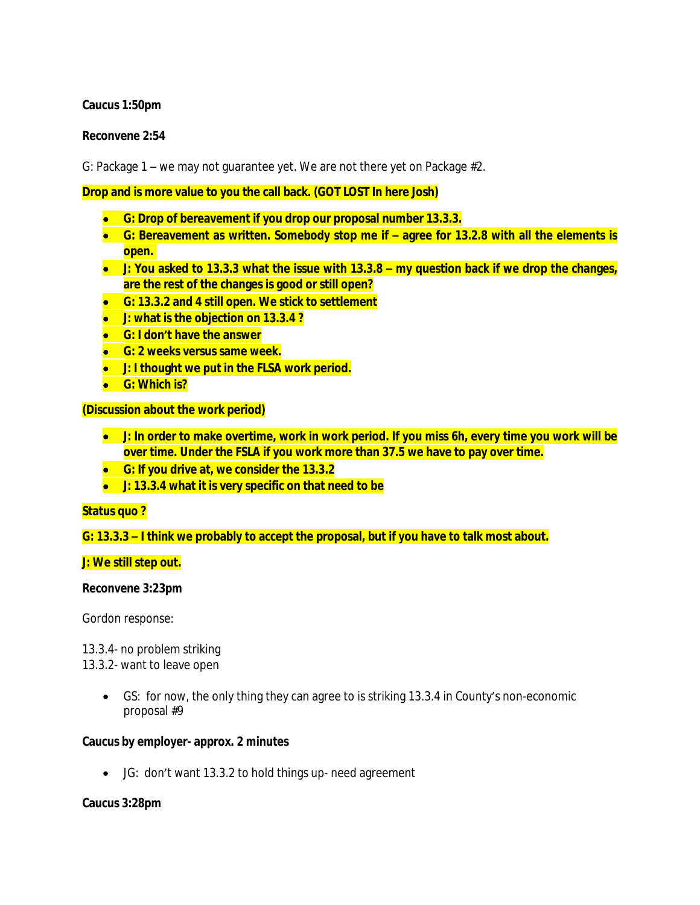#### **Caucus 1:50pm**

#### **Reconvene 2:54**

G: Package 1 – we may not guarantee yet. We are not there yet on Package #2.

**Drop and is more value to you the call back. (GOT LOST In here Josh)**

- **G: Drop of bereavement if you drop our proposal number 13.3.3.**
- **G: Bereavement as written. Somebody stop me if – agree for 13.2.8 with all the elements is open.**
- J: You asked to 13.3.3 what the issue with 13.3.8 my question back if we drop the changes, **are the rest of the changes is good or still open?**
- **G: 13.3.2 and 4 still open. We stick to settlement**
- **J: what is the objection on 13.3.4 ?**
- **G: I don't have the answer**
- **G: 2 weeks versus same week.**
- **J: I thought we put in the FLSA work period.**
- **G: Which is?**

**(Discussion about the work period)**

- $\bullet$  J: In order to make overtime, work in work period. If you miss 6h, every time you work will be **over time. Under the FSLA if you work more than 37.5 we have to pay over time.**
- **G: If you drive at, we consider the 13.3.2**
- **J: 13.3.4 what it is very specific on that need to be**

#### **Status quo ?**

**G: 13.3.3 – I think we probably to accept the proposal, but if you have to talk most about.**

#### **J: We still step out.**

#### **Reconvene 3:23pm**

Gordon response:

13.3.4- no problem striking

13.3.2- want to leave open

 GS: for now, the only thing they can agree to is striking 13.3.4 in County's non-economic proposal #9

#### **Caucus by employer- approx. 2 minutes**

JG: don't want 13.3.2 to hold things up- need agreement

#### **Caucus 3:28pm**